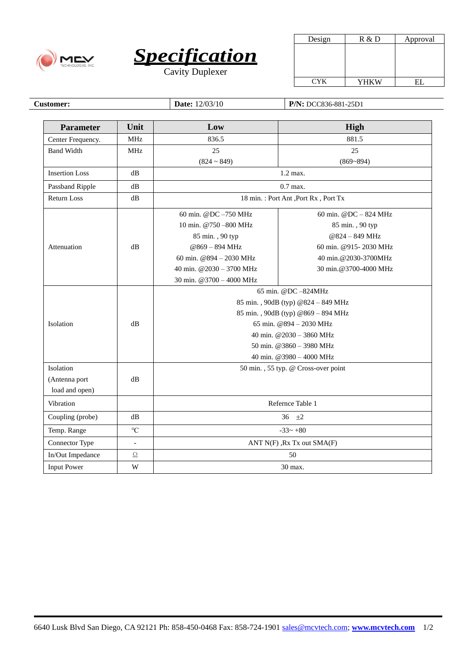



| Design     | R & D | Approval |
|------------|-------|----------|
|            |       |          |
|            |       |          |
|            |       |          |
|            |       |          |
| <b>CYK</b> | YHKW  |          |

**Customer: Date:**  $12/03/10$  **P/N:** DCC836-881-25D1

| <b>Parameter</b>      | Unit            | Low                                   | High                    |
|-----------------------|-----------------|---------------------------------------|-------------------------|
| Center Frequency.     | <b>MHz</b>      | 836.5                                 | 881.5                   |
| <b>Band Width</b>     | <b>MHz</b>      | 25                                    | 25                      |
|                       |                 | $(824 \sim 849)$                      | $(869 - 894)$           |
| <b>Insertion Loss</b> | dB              | 1.2 max.                              |                         |
| Passband Ripple       | dB              | $0.7$ max.                            |                         |
| <b>Return Loss</b>    | dB              | 18 min. : Port Ant , Port Rx, Port Tx |                         |
| Attenuation           |                 | 60 min. @DC-750 MHz                   | 60 min. @DC $-$ 824 MHz |
|                       |                 | 10 min. @750-800 MHz                  | 85 min., 90 typ         |
|                       |                 | 85 min., 90 typ                       | @824 - 849 MHz          |
|                       | dB              | @869-894 MHz                          | 60 min. @915-2030 MHz   |
|                       |                 | 60 min. @894 - 2030 MHz               | 40 min.@2030-3700MHz    |
|                       |                 | 40 min. @2030 - 3700 MHz              | 30 min.@3700-4000 MHz   |
|                       |                 | 30 min. @3700 - 4000 MHz              |                         |
|                       |                 | 65 min. @DC-824MHz                    |                         |
|                       |                 | 85 min., 90dB (typ) @824 - 849 MHz    |                         |
|                       |                 | 85 min., 90dB (typ) @869 - 894 MHz    |                         |
| Isolation             | dB              | 65 min. @894 - 2030 MHz               |                         |
|                       |                 | 40 min. @2030 - 3860 MHz              |                         |
|                       |                 | 50 min. @3860 - 3980 MHz              |                         |
|                       |                 | 40 min. @3980 - 4000 MHz              |                         |
| Isolation             |                 | 50 min., 55 typ. @ Cross-over point   |                         |
| (Antenna port         | dB              |                                       |                         |
| load and open)        |                 |                                       |                         |
| Vibration             |                 | Refernce Table 1                      |                         |
| Coupling (probe)      | dB              | 36 $\pm 2$                            |                         |
| Temp. Range           | $\rm ^{\circ}C$ | $-33 - +80$                           |                         |
| Connector Type        | $\equiv$        | ANT N(F), Rx Tx out SMA(F)            |                         |
| In/Out Impedance      | $\Omega$        | 50                                    |                         |
| <b>Input Power</b>    | W               | 30 max.                               |                         |